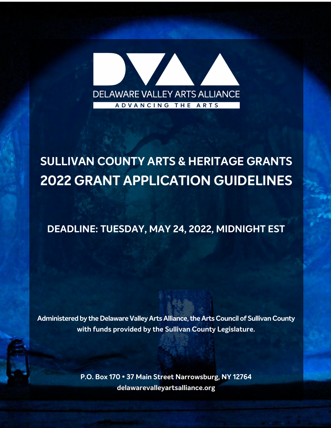

# **SULLIVAN COUNTY ARTS & HERITAGE GRANTS 2022 GRANT APPLICATION GUIDELINES**

### **DEADLINE: TUESDAY, MAY 24, 2022, MIDNIGHT EST**

**Administered by the Delaware Valley Arts Alliance, the Arts Council of Sullivan County with funds provided by the Sullivan County Legislature.**

> **P.O. Box 170 • 37 Main Street Narrowsburg, NY 12764 delawarevalleyartsalliance.org**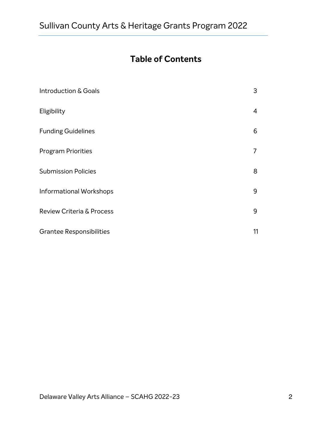### **Table of Contents**

| Introduction & Goals                 | 3  |
|--------------------------------------|----|
| Eligibility                          | 4  |
| <b>Funding Guidelines</b>            | 6  |
| <b>Program Priorities</b>            | 7  |
| <b>Submission Policies</b>           | 8  |
| Informational Workshops              | 9  |
| <b>Review Criteria &amp; Process</b> | 9  |
| <b>Grantee Responsibilities</b>      | 11 |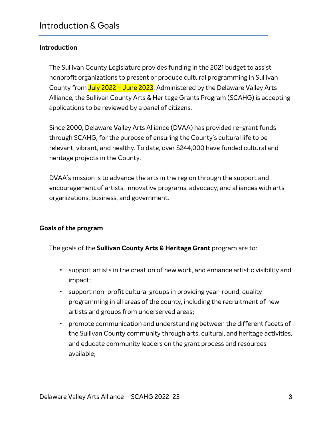### **Introduction**

The Sullivan County Legislature provides funding in the 2021 budget to assist nonprofit organizations to present or produce cultural programming in Sullivan County from July 2022 - June 2023. Administered by the Delaware Valley Arts Alliance, the Sullivan County Arts & Heritage Grants Program (SCAHG) is accepting applications to be reviewed by a panel of citizens.

Since 2000, Delaware Valley Arts Alliance (DVAA) has provided re-grant funds through SCAHG, for the purpose of ensuring the County's cultural life to be relevant, vibrant, and healthy. To date, over \$244,000 have funded cultural and heritage projects in the County.

DVAA's mission is to advance the arts in the region through the support and encouragement of artists, innovative programs, advocacy, and alliances with arts organizations, business, and government.

#### **Goals of the program**

The goals of the **Sullivan County Arts & Heritage Grant** program are to:

- ! support artists in the creation of new work, and enhance artistic visibility and impact;
- ! support non-profit cultural groups in providing year-round, quality programming in all areas of the county, including the recruitment of new artists and groups from underserved areas;
- ! promote communication and understanding between the different facets of the Sullivan County community through arts, cultural, and heritage activities, and educate community leaders on the grant process and resources available;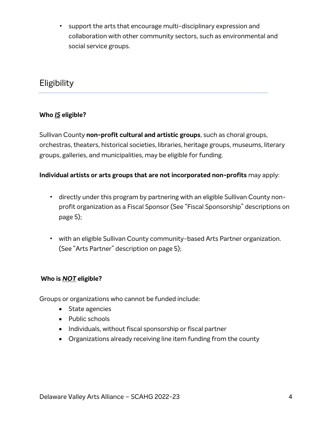! support the arts that encourage multi-disciplinary expression and collaboration with other community sectors, such as environmental and social service groups.

### **Eligibility**

### **Who** *IS* **eligible?**

Sullivan County **non-profit cultural and artistic groups**, such as choral groups, orchestras, theaters, historical societies, libraries, heritage groups, museums, literary groups, galleries, and municipalities, may be eligible for funding.

### **Individual artists or arts groups that are not incorporated non-profits** may apply:

- ! directly under this program by partnering with an eligible Sullivan County nonprofit organization as a Fiscal Sponsor (See "Fiscal Sponsorship" descriptions on page 5);
- ! with an eligible Sullivan County community-based Arts Partner organization. (See "Arts Partner" description on page 5);

### **Who is** *NOT* **eligible?**

Groups or organizations who cannot be funded include:

- State agencies
- Public schools
- Individuals, without fiscal sponsorship or fiscal partner
- Organizations already receiving line item funding from the county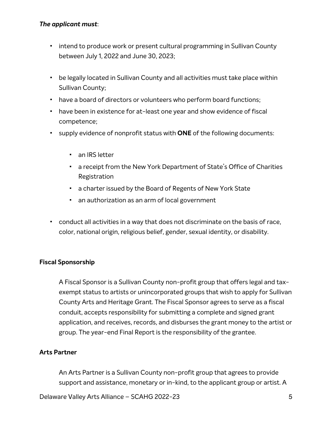#### *The applicant must*:

- ! intend to produce work or present cultural programming in Sullivan County between July 1, 2022 and June 30, 2023;
- ! be legally located in Sullivan County and all activities must take place within Sullivan County;
- ! have a board of directors or volunteers who perform board functions;
- ! have been in existence for at-least one year and show evidence of fiscal competence;
- ! supply evidence of nonprofit status with **ONE** of the following documents:
	- an IRS letter
	- ! a receipt from the New York Department of State's Office of Charities Registration
	- ! a charter issued by the Board of Regents of New York State
	- ! an authorization as an arm of local government
- ! conduct all activities in a way that does not discriminate on the basis of race, color, national origin, religious belief, gender, sexual identity, or disability.

#### **Fiscal Sponsorship**

A Fiscal Sponsor is a Sullivan County non-profit group that offers legal and taxexempt status to artists or unincorporated groups that wish to apply for Sullivan County Arts and Heritage Grant. The Fiscal Sponsor agrees to serve as a fiscal conduit, accepts responsibility for submitting a complete and signed grant application, and receives, records, and disburses the grant money to the artist or group. The year-end Final Report is the responsibility of the grantee.

#### **Arts Partner**

An Arts Partner is a Sullivan County non-profit group that agrees to provide support and assistance, monetary or in-kind, to the applicant group or artist. A

Delaware Valley Arts Alliance – SCAHG 2022-23 5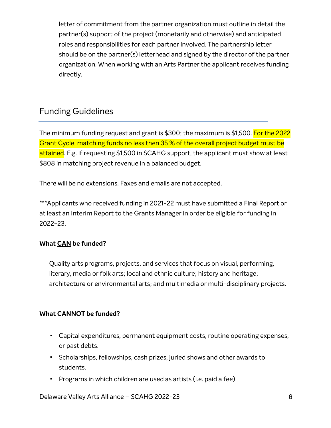letter of commitment from the partner organization must outline in detail the partner(s) support of the project (monetarily and otherwise) and anticipated roles and responsibilities for each partner involved. The partnership letter should be on the partner(s) letterhead and signed by the director of the partner organization. When working with an Arts Partner the applicant receives funding directly.

### Funding Guidelines

The minimum funding request and grant is \$300; the maximum is \$1,500. For the 2022 Grant Cycle, matching funds no less then 35 % of the overall project budget must be attained. E.g. if requesting \$1,500 in SCAHG support, the applicant must show at least \$808 in matching project revenue in a balanced budget.

There will be no extensions. Faxes and emails are not accepted.

\*\*\*Applicants who received funding in 2021-22 must have submitted a Final Report or at least an Interim Report to the Grants Manager in order be eligible for funding in 2022-23.

### **What CAN be funded?**

Quality arts programs, projects, and services that focus on visual, performing, literary, media or folk arts; local and ethnic culture; history and heritage; architecture or environmental arts; and multimedia or multi-disciplinary projects.

### **What CANNOT be funded?**

- ! Capital expenditures, permanent equipment costs, routine operating expenses, or past debts.
- ! Scholarships, fellowships, cash prizes, juried shows and other awards to students.
- ! Programs in which children are used as artists (i.e. paid a fee)

Delaware Valley Arts Alliance – SCAHG 2022-23 6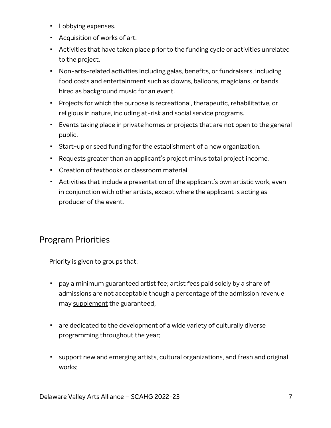- ! Lobbying expenses.
- ! Acquisition of works of art.
- ! Activities that have taken place prior to the funding cycle or activities unrelated to the project.
- ! Non-arts-related activities including galas, benefits, or fundraisers, including food costs and entertainment such as clowns, balloons, magicians, or bands hired as background music for an event.
- ! Projects for which the purpose is recreational, therapeutic, rehabilitative, or religious in nature, including at-risk and social service programs.
- ! Events taking place in private homes or projects that are not open to the general public.
- ! Start-up or seed funding for the establishment of a new organization.
- ! Requests greater than an applicant's project minus total project income.
- ! Creation of textbooks or classroom material.
- ! Activities that include a presentation of the applicant's own artistic work, even in conjunction with other artists, except where the applicant is acting as producer of the event.

### Program Priorities

Priority is given to groups that:

- ! pay a minimum guaranteed artist fee; artist fees paid solely by a share of admissions are not acceptable though a percentage of the admission revenue may supplement the guaranteed;
- ! are dedicated to the development of a wide variety of culturally diverse programming throughout the year;
- ! support new and emerging artists, cultural organizations, and fresh and original works;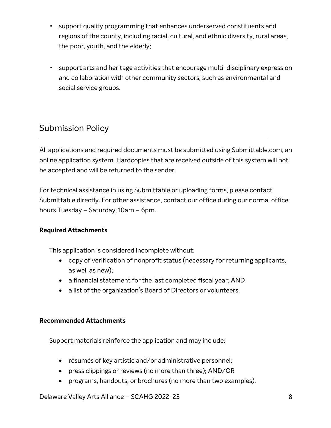- ! support quality programming that enhances underserved constituents and regions of the county, including racial, cultural, and ethnic diversity, rural areas, the poor, youth, and the elderly;
- ! support arts and heritage activities that encourage multi-disciplinary expression and collaboration with other community sectors, such as environmental and social service groups.

### Submission Policy

All applications and required documents must be submitted using Submittable.com, an online application system. Hardcopies that are received outside of this system will not be accepted and will be returned to the sender.

For technical assistance in using Submittable or uploading forms, please contact Submittable directly. For other assistance, contact our office during our normal office hours Tuesday – Saturday, 10am – 6pm.

### **Required Attachments**

This application is considered incomplete without:

- copy of verification of nonprofit status (necessary for returning applicants, as well as new);
- a financial statement for the last completed fiscal year; AND
- a list of the organization's Board of Directors or volunteers.

#### **Recommended Attachments**

Support materials reinforce the application and may include:

- résumés of key artistic and/or administrative personnel;
- press clippings or reviews (no more than three); AND/OR
- programs, handouts, or brochures (no more than two examples).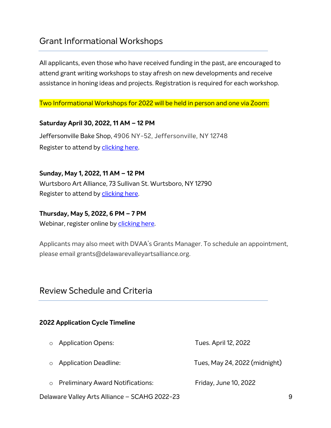### Grant Informational Workshops

All applicants, even those who have received funding in the past, are encouraged to attend grant writing workshops to stay afresh on new developments and receive assistance in honing ideas and projects. Registration is required for each workshop.

Two Informational Workshops for 2022 will be held in person and one via Zoom:

#### **Saturday April 30, 2022, 11 AM – 12 PM**

Jeffersonville Bake Shop, 4906 NY-52, Jeffersonville, NY 12748 Register to attend by clicking here.

**Sunday, May 1, 2022, 11 AM – 12 PM** Wurtsboro Art Alliance, 73 Sullivan St. Wurtsboro, NY 12790 Register to attend by clicking here.

#### **Thursday, May 5, 2022, 6 PM – 7 PM**

Webinar, register online by clicking here.

Applicants may also meet with DVAA's Grants Manager. To schedule an appointment, please email grants@delawarevalleyartsalliance.org.

### Review Schedule and Criteria

#### **2022 Application Cycle Timeline**

- o Application Opens: Tues. April 12, 2022
- o Application Deadline: Tues, May 24, 2022 (midnight)
- o Preliminary Award Notifications: Friday, June 10, 2022

Delaware Valley Arts Alliance – SCAHG 2022-23 9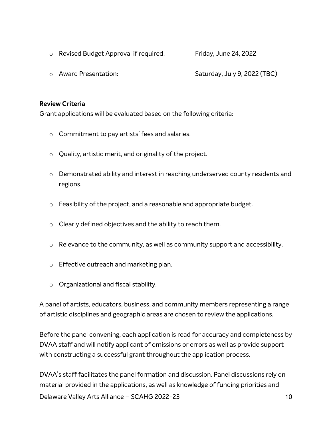- o Revised Budget Approval if required: Friday, June 24, 2022
- o Award Presentation: Saturday, July 9, 2022 (TBC)

#### **Review Criteria**

Grant applications will be evaluated based on the following criteria:

- o Commitment to pay artists' fees and salaries.
- o Quality, artistic merit, and originality of the project.
- o Demonstrated ability and interest in reaching underserved county residents and regions.
- o Feasibility of the project, and a reasonable and appropriate budget.
- $\circ$  Clearly defined objectives and the ability to reach them.
- o Relevance to the community, as well as community support and accessibility.
- o Effective outreach and marketing plan.
- o Organizational and fiscal stability.

A panel of artists, educators, business, and community members representing a range of artistic disciplines and geographic areas are chosen to review the applications.

Before the panel convening, each application is read for accuracy and completeness by DVAA staff and will notify applicant of omissions or errors as well as provide support with constructing a successful grant throughout the application process.

Delaware Valley Arts Alliance – SCAHG 2022-23 10 DVAA's staff facilitates the panel formation and discussion. Panel discussions rely on material provided in the applications, as well as knowledge of funding priorities and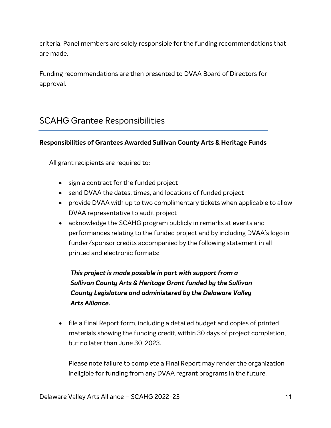criteria. Panel members are solely responsible for the funding recommendations that are made.

Funding recommendations are then presented to DVAA Board of Directors for approval.

### SCAHG Grantee Responsibilities

#### **Responsibilities of Grantees Awarded Sullivan County Arts & Heritage Funds**

All grant recipients are required to:

- sign a contract for the funded project
- send DVAA the dates, times, and locations of funded project
- provide DVAA with up to two complimentary tickets when applicable to allow DVAA representative to audit project
- acknowledge the SCAHG program publicly in remarks at events and performances relating to the funded project and by including DVAA's logo in funder/sponsor credits accompanied by the following statement in all printed and electronic formats:

### *This project is made possible in part with support from a Sullivan County Arts & Heritage Grant funded by the Sullivan County Legislature and administered by the Delaware Valley Arts Alliance.*

• file a Final Report form, including a detailed budget and copies of printed materials showing the funding credit, within 30 days of project completion, but no later than June 30, 2023.

Please note failure to complete a Final Report may render the organization ineligible for funding from any DVAA regrant programs in the future.